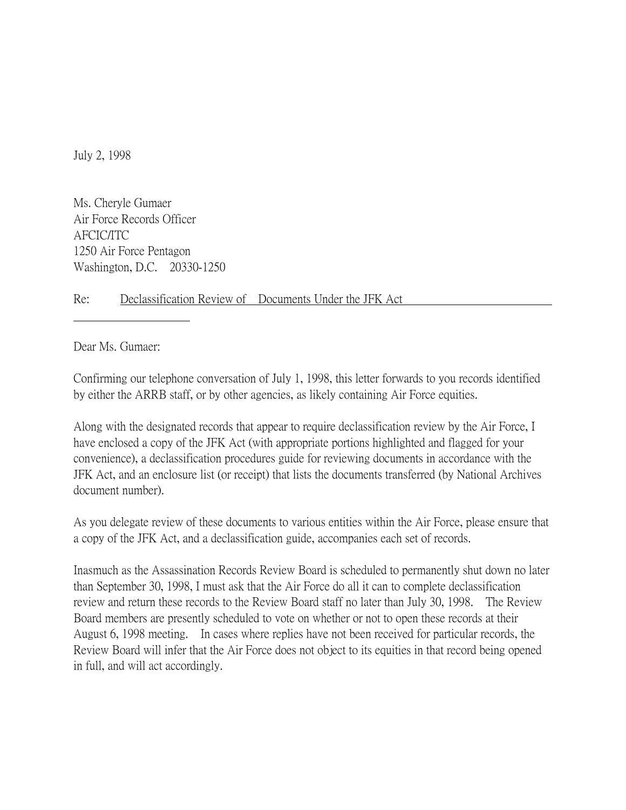July 2, 1998

Ms. Cheryle Gumaer Air Force Records Officer AFCIC/ITC 1250 Air Force Pentagon Washington, D.C. 20330-1250

## Re: Declassification Review of Documents Under the JFK Act

Dear Ms. Gumaer:

Confirming our telephone conversation of July 1, 1998, this letter forwards to you records identified by either the ARRB staff, or by other agencies, as likely containing Air Force equities.

Along with the designated records that appear to require declassification review by the Air Force, I have enclosed a copy of the JFK Act (with appropriate portions highlighted and flagged for your convenience), a declassification procedures guide for reviewing documents in accordance with the JFK Act, and an enclosure list (or receipt) that lists the documents transferred (by National Archives document number).

As you delegate review of these documents to various entities within the Air Force, please ensure that a copy of the JFK Act, and a declassification guide, accompanies each set of records.

Inasmuch as the Assassination Records Review Board is scheduled to permanently shut down no later than September 30, 1998, I must ask that the Air Force do all it can to complete declassification review and return these records to the Review Board staff no later than July 30, 1998. The Review Board members are presently scheduled to vote on whether or not to open these records at their August 6, 1998 meeting. In cases where replies have not been received for particular records, the Review Board will infer that the Air Force does not object to its equities in that record being opened in full, and will act accordingly.